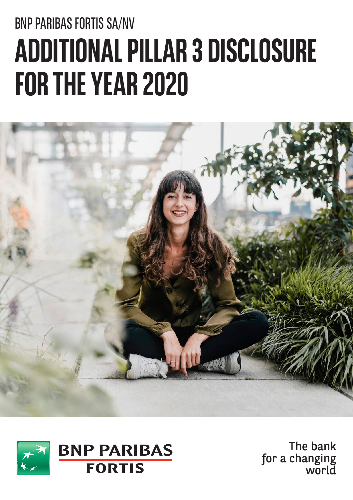# BNP PARIBAS FORTIS SA/NV  **3 DISCLOSURE A DD IT IO NA L PI LL A R FOR THE YEAR 2020**





The bank for a changing world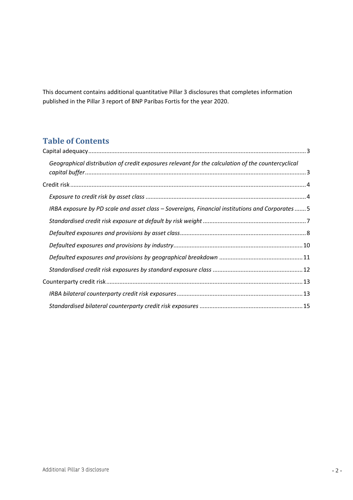This document contains additional quantitative Pillar 3 disclosures that completes information published in the Pillar 3 report of BNP Paribas Fortis for the year 2020.

#### **Table of Contents**

| Geographical distribution of credit exposures relevant for the calculation of the countercyclical |  |
|---------------------------------------------------------------------------------------------------|--|
|                                                                                                   |  |
|                                                                                                   |  |
| IRBA exposure by PD scale and asset class – Sovereigns, Financial institutions and Corporates 5   |  |
|                                                                                                   |  |
|                                                                                                   |  |
|                                                                                                   |  |
|                                                                                                   |  |
|                                                                                                   |  |
|                                                                                                   |  |
|                                                                                                   |  |
|                                                                                                   |  |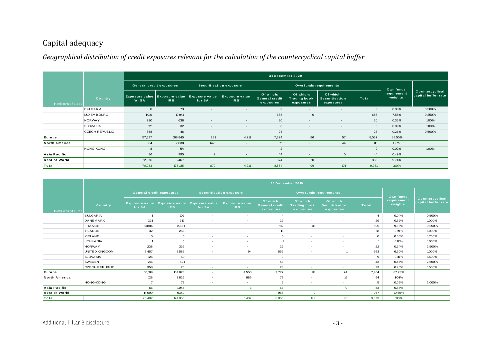#### Capital adequacy

#### *Geographical distribution of credit exposures relevant for the calculation of the countercyclical capital buffer*

|                      |                       |             |                                                  |                                 |                                          | 31 December 2020                                |                                               |                                          |                |                                     |                                        |
|----------------------|-----------------------|-------------|--------------------------------------------------|---------------------------------|------------------------------------------|-------------------------------------------------|-----------------------------------------------|------------------------------------------|----------------|-------------------------------------|----------------------------------------|
|                      |                       |             | <b>General credit exposures</b>                  |                                 | <b>Securitisation exposure</b>           |                                                 |                                               | Own funds requirements                   |                |                                     |                                        |
| In millions of euros | Country               | for SA      | Exposure value Exposure value<br>IR <sub>B</sub> | <b>Exposure value</b><br>for SA | <b>Exposure value</b><br>IR <sub>B</sub> | Of which:<br><b>General credit</b><br>exposures | Of which:<br><b>Trading book</b><br>exposures | Of which:<br>Securitisation<br>exposures | Total          | Own funds<br>requirement<br>weights | Countercyclical<br>capital buffer rate |
|                      | <b>BULGARIA</b>       | $\mathbf 0$ | 73                                               | $\overline{\phantom{a}}$        | $\overline{\phantom{a}}$                 | 3                                               | $\overline{\phantom{a}}$                      | $\sim$                                   | 3              | 0.03%                               | 0,500%                                 |
|                      | <b>LUXEMBOURG</b>     | 1.019       | 19,941                                           | $\sim$                          | $\overline{\phantom{a}}$                 | 688                                             | $\Omega$                                      | $\sim$                                   | 688            | 7.58%                               | 0,250%                                 |
|                      | NORWAY                | 220         | 638                                              | $\overline{\phantom{a}}$        | $\overline{\phantom{a}}$                 | 30                                              | $\overline{\phantom{a}}$                      | $\sim$                                   | 30             | 0.33%                               | 1.00%                                  |
|                      | <b>SLOVAKIA</b>       | 121         | 32                                               |                                 | $\overline{\phantom{a}}$                 | 8                                               | $\overline{\phantom{a}}$                      |                                          | 8              | 0.09%                               | 1.00%                                  |
|                      | <b>CZECH REPUBLIC</b> | 358         | 46                                               | $\sim$                          | $\overline{\phantom{a}}$                 | 23                                              | $\sim$                                        | $\sim$                                   | 23             | 0.26%                               | 0,500%                                 |
| Europe               |                       | 57,537      | 168,845                                          | 231                             | 4,211                                    | 7,894                                           | 86                                            | 57                                       | 8,037          | 88.50%                              |                                        |
| <b>North America</b> |                       | 84          | 2,838                                            | 646                             | $\overline{\phantom{a}}$                 | 71                                              | $\overline{\phantom{a}}$                      | 44                                       | 115            | 1.27%                               |                                        |
|                      | <b>HONG-KONG</b>      | 8           | 54                                               | $\sim$                          | $\overline{\phantom{a}}$                 | $\overline{2}$                                  | $\overline{\phantom{a}}$                      | $\sim$                                   | $\overline{2}$ | 0.02%                               | 1.00%                                  |
| Asia Pacific         |                       | 36          | 995                                              | $\overline{2}$                  | $\overline{\phantom{a}}$                 | 44                                              | $\overline{\phantom{a}}$                      | $\mathbf{0}$                             | 44             | 0.49%                               |                                        |
| <b>Rest of World</b> |                       | 12,376      | 5,467                                            | $\overline{\phantom{a}}$        | $\overline{\phantom{a}}$                 | 874                                             | 10                                            | $\sim$                                   | 885            | 9.74%                               |                                        |
| Total                |                       | 70,033      | 178,145                                          | 879                             | 4,211                                    | 8,884                                           | 96                                            | 101                                      | 9,081          | 100%                                |                                        |

<span id="page-2-1"></span><span id="page-2-0"></span>

| <b>Total</b>         |                       | 70.033                          | 178.145                                                                                     | 879                             | 4.211                                    | 8.884                                    | 96                                            | 101                                             | 9,081          | 100%                                |                                        |  |
|----------------------|-----------------------|---------------------------------|---------------------------------------------------------------------------------------------|---------------------------------|------------------------------------------|------------------------------------------|-----------------------------------------------|-------------------------------------------------|----------------|-------------------------------------|----------------------------------------|--|
|                      |                       |                                 |                                                                                             |                                 |                                          |                                          |                                               |                                                 |                |                                     |                                        |  |
|                      |                       |                                 | 31 December 2019                                                                            |                                 |                                          |                                          |                                               |                                                 |                |                                     |                                        |  |
|                      |                       |                                 | <b>General credit exposures</b><br><b>Securitisation exposure</b><br>Own funds requirements |                                 |                                          |                                          |                                               |                                                 |                |                                     |                                        |  |
| In millions of euros | Country               | <b>Exposure value</b><br>for SA | <b>Exposure value</b><br><b>IRB</b>                                                         | <b>Exposure value</b><br>for SA | <b>Exposure value</b><br>IR <sub>B</sub> | Of which:<br>General credit<br>exposures | Of which:<br><b>Trading book</b><br>exposures | Of which:<br><b>Securitisation</b><br>exposures | <b>Total</b>   | Own funds<br>requirement<br>weights | Countercyclical<br>capital buffer rate |  |
|                      | <b>BULGARIA</b>       | $\overline{1}$                  | 107                                                                                         | $\sim$                          | $\sim$                                   | $\mathbf{A}$                             | $\sim$                                        | $\sim$                                          | $\overline{a}$ | 0.04%                               | 0,500%                                 |  |
|                      | DANEMARK              | 221                             | 319                                                                                         | $\sim$                          | $\sim$                                   | 29                                       | $\sim$                                        | $\sim$                                          | 29             | 0.32%                               | 1,000%                                 |  |
|                      | FRANCE                | 11,884                          | 2,661                                                                                       | $\sim$                          | $\sim$                                   | 782                                      | 113                                           | $\sim$                                          | 895            | 9.86%                               | 0,250%                                 |  |
|                      | <b>IRLANDE</b>        | 32                              | 253                                                                                         | $\sim$                          | $\sim$                                   | 18                                       | $\overline{\phantom{a}}$                      | $\sim$                                          | 18             | 0.19%                               | 1,000%                                 |  |
|                      | <b>ICELAND</b>        | $\mathbf{O}$                    | $\circ$                                                                                     | $\sim$                          | $\sim$                                   | $\mathbf{O}$                             | $\sim$                                        | $\sim$                                          | $\mathbf{O}$   | 0.00%                               | 1,750%                                 |  |
|                      | LITHUANIA             | $\overline{1}$                  | 5                                                                                           | $\sim$                          | $\sim$                                   | $\mathbf{1}$                             | $\overline{\phantom{a}}$                      | $\sim$                                          | $\mathbf{1}$   | 0.01%                               | 1.000%                                 |  |
|                      | <b>NORWAY</b>         | 238                             | 339                                                                                         | $\sim$                          | $\sim$                                   | 22                                       | $\overline{\phantom{a}}$                      | $\sim$                                          | 22             | 0.24%                               | 2,500%                                 |  |
|                      | UNITED KINGDOM        | 6,457                           | 5,582                                                                                       | $\sim$                          | 94                                       | 562                                      | $\sim$                                        | $\overline{1}$                                  | 563            | 6.20%                               | 1,000%                                 |  |
|                      | <b>SLOVAKIA</b>       | 126                             | 50                                                                                          | $\sim$                          | $\sim$                                   | 9                                        | $\overline{\phantom{a}}$                      | $\sim$                                          | 9              | 0.10%                               | 1,500%                                 |  |
|                      | <b>SWEDEN</b>         | 215                             | 821                                                                                         | $\sim$                          | $\sim$                                   | 43                                       | $\sim$                                        | $\sim$                                          | 43             | 0.47%                               | 2,500%                                 |  |
|                      | <b>CZECH REPUBLIC</b> | 358                             | 26                                                                                          | $\sim$                          | $\sim$                                   | 23                                       | $\sim$                                        | $\sim$                                          | 23             | 0.26%                               | 1,500%                                 |  |
| <b>Europe</b>        |                       | 56,189                          | 164,828                                                                                     | $\sim$                          | 4,550                                    | 7,777                                    | 113                                           | 74                                              | 7,964          | 87.73%                              |                                        |  |
| <b>North America</b> |                       | 128                             | 2,826                                                                                       | $\sim$                          | 885                                      | 79                                       | $\sim$                                        | 16                                              | 94             | 1.04%                               |                                        |  |
|                      | <b>HONG-KONG</b>      | $\overline{7}$                  | 72                                                                                          | $\sim$                          | $\sim$                                   | 5                                        | $\sim$                                        | ٠                                               | 5              | 0.06%                               | 2,000%                                 |  |
| Asia Pacific         |                       | 66                              | 1,046                                                                                       | $\sim$                          | 3                                        | 53                                       | $\sim$                                        | $\mathbf{o}$                                    | 53             | 0.58%                               |                                        |  |
| <b>Rest of World</b> |                       | 14,099                          | 6,149                                                                                       | $\sim$                          | $\sim$                                   | 958                                      | 9                                             | $\sim$                                          | 967            | 10.65%                              |                                        |  |
| <b>Total</b>         |                       | 70,482                          | 174,850                                                                                     | ÷.                              | 5,437                                    | 8,866                                    | 122                                           | 90                                              | 9,079          | 100%                                |                                        |  |
|                      |                       |                                 |                                                                                             |                                 |                                          |                                          |                                               |                                                 |                |                                     |                                        |  |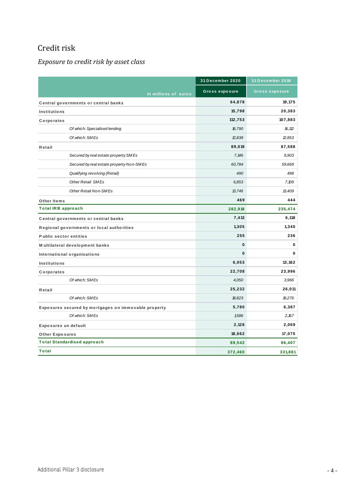### <span id="page-3-0"></span>Credit risk

#### <span id="page-3-1"></span>*Exposure to credit risk by asset class*

|                                                      | 31 December 2020      | 31 December 2019 |
|------------------------------------------------------|-----------------------|------------------|
| In millions of euros                                 | <b>Gross exposure</b> | Gross exposure   |
| Central governments or central banks                 | 64,878                | 19,175           |
| <b>Institutions</b>                                  | 15,798                | 20,383           |
| Corporates                                           | 112,753               | 107,883          |
| Of which: Specialised lending                        | 16,790                | 16,112           |
| Of which: SMEs                                       | 2,838                 | 2,853            |
| Retail                                               | 89,019                | 87,588           |
| Secured by real estate property SMEs                 | 7,146                 | 6,903            |
| Secured by real estate property Non-SMEs             | 60,784                | 59,669           |
| Qualifying revolving (Retail)                        | 490                   | 498              |
| <b>Other Retail SMEs</b>                             | 6,853                 | 7,109            |
| Other Retail Non-SMEs                                | 13,746                | 13,409           |
| Other Items                                          | 469                   | 444              |
| <b>Total IRB approach</b>                            | 282,918               | 235,474          |
| Central governments or central banks                 | 7,413                 | 6,118            |
| Regional governments or local authorities            | 1,305                 | 1,340            |
| <b>Public sector entities</b>                        | 255                   | 236              |
| Multilateral development banks                       | $\mathbf 0$           | 0                |
| International organisations                          | $\mathbf{0}$          | 0                |
| <b>Institutions</b>                                  | 6,053                 | 13,162           |
| Corporates                                           | 22,708                | 23,996           |
| Of which: SMEs                                       | 4,050                 | 3,966            |
| Retail                                               | 25,232                | 26,011           |
| Of which: SMEs                                       | 18,823                | 19,276           |
| Exposures secured by mortgages on immovable property | 5,780                 | 6,387            |
| Of which: SMEs                                       | 1,586                 | 2,167            |
| Exposures un default                                 | 2,128                 | 2,069            |
| <b>Other Exposures</b>                               | 18,662                | 17,075           |
| <b>Total Standardised approach</b>                   | 89,542                | 96,407           |
| Total                                                | 372,460               | 331,881          |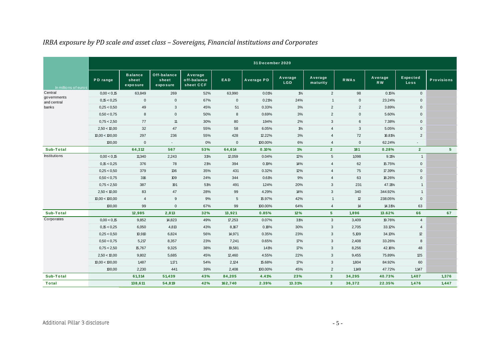| IRBA exposure by PD scale and asset class - Sovereigns, Financial institutions and Corporates |                |                                     |                                  |                                     |             |                  |                       |                     |                |                      |                         |                   |
|-----------------------------------------------------------------------------------------------|----------------|-------------------------------------|----------------------------------|-------------------------------------|-------------|------------------|-----------------------|---------------------|----------------|----------------------|-------------------------|-------------------|
|                                                                                               |                |                                     |                                  |                                     |             | 31 December 2020 |                       |                     |                |                      |                         |                   |
| In millions of euros                                                                          | PD range       | <b>Balance</b><br>sheet<br>exposure | Off-balance<br>sheet<br>exposure | Average<br>off-balance<br>sheet CCF | EAD         | Average PD       | Average<br><b>LGD</b> | Average<br>maturity | <b>RWAs</b>    | Average<br><b>RW</b> | <b>Expected</b><br>Loss | <b>Provisions</b> |
| Central                                                                                       | 0,00 < 0,15    | 63,849                              | 269                              | 52%                                 | 63,990      | 0.01%            | $1\%$                 | $\overline{2}$      | 98             | 0.15%                | $\mathbf 0$             |                   |
| governments<br>and central                                                                    | 0,15 < 0,25    | $\mathbf 0$                         | $\mathbf 0$                      | 67%                                 | $\mathbf 0$ | 0.21%            | 24%                   | $\mathbf{1}$        | $\mathsf 0$    | 23.24%               | $\mathsf{O}$            |                   |
| banks                                                                                         | 0,25 < 0,50    | 49                                  | 3                                | 45%                                 | 51          | 0.33%            | 3%                    | $\overline{2}$      | $\overline{2}$ | 3.89%                | $\mathsf{O}$            |                   |
|                                                                                               | 0,50 < 0,75    | 8                                   | $\mathbf 0$                      | 50%                                 | 8           | 0.69%            | 3%                    | $\overline{2}$      | $\mathsf 0$    | 5.60%                | $\mathbf 0$             |                   |
|                                                                                               | 0,75 < 2,50    | 77                                  | 11                               | 30%                                 | 80          | 1.94%            | 2%                    | 3                   | 6              | 7.38%                | $\mathbf 0$             |                   |
|                                                                                               | 2,50 < 10,00   | 32                                  | 47                               | 55%                                 | 58          | 6.05%            | $1\%$                 | $\overline{4}$      | 3              | 5.05%                | $\mathsf{O}$            |                   |
|                                                                                               | 10,00 < 100,00 | 297                                 | 236                              | 55%                                 | 428         | 12.22%           | 3%                    | $\overline{4}$      | 72             | 16.81%               | $\overline{2}$          |                   |
|                                                                                               | 100,00         | $\mathbf 0$                         | $\blacksquare$                   | 0%                                  | $\mathbf 0$ | 100.00%          | 6%                    | $\overline{4}$      | $\mathsf 0$    | 62.24%               |                         |                   |
| Sub-Total                                                                                     |                | 64,312                              | 567                              | 53%                                 | 64,614      | 0.10%            | 1%                    | $\overline{2}$      | 181            | 0.28%                | $\overline{2}$          | 5 <sup>1</sup>    |
| Institutions                                                                                  | 0,00 < 0,15    | 11,340                              | 2,243                            | 31%                                 | 12,059      | 0.04%            | 12%                   | 5                   | 1,098          | 9.11%                | $\overline{1}$          |                   |
|                                                                                               | 0,15 < 0,25    | 376                                 | 78                               | 21%                                 | 394         | 0.19%            | 14%                   | $\overline{4}$      | 62             | 15.75%               | $\mathbf 0$             |                   |
|                                                                                               | 0,25 < 0,50    | 379                                 | 136                              | 35%                                 | 431         | 0.32%            | 12%                   | 4                   | 75             | 17.39%               | $\mathbf 0$             |                   |
|                                                                                               | 0,50 < 0,75    | 316                                 | 109                              | 24%                                 | 344         | 0.61%            | 9%                    | $\overline{4}$      | 63             | 18.26%               | $\mathbf 0$             |                   |
|                                                                                               | 0,75 < 2,50    | 387                                 | 191                              | 51%                                 | 491         | 1.24%            | 20%                   | 3                   | 231            | 47.11%               | $\mathbf{1}$            |                   |
|                                                                                               | 2,50 < 10,00   | 83                                  | 47                               | 28%                                 | 99          | 4.29%            | 14%                   | 3                   | 340            | 344.92%              | $\mathbf{1}$            |                   |
|                                                                                               | 10,00 < 100,00 | $\overline{4}$                      | 9                                | 9%                                  | 5           | 15.97%           | 42%                   | $\mathbf{1}$        | 12             | 238.05%              | $\mathbf 0$             |                   |
|                                                                                               | 100,00         | 99                                  | 0                                | 67%                                 | 99          | 100.00%          | 64%                   | $\overline{4}$      | 14             | 14.31%               | 63                      |                   |
| Sub-Total                                                                                     |                | 12,985                              | 2,813                            | 32%                                 | 13,921      | 0.85%            | 12%                   | 5 <sup>5</sup>      | 1,896          | 13.62%               | 66                      | 67                |
| Corporates                                                                                    | 0,00 < 0,15    | 9,852                               | 14,823                           | 49%                                 | 17,253      | 0.07%            | 31%                   | 3                   | 3,409          | 19.76%               | $\overline{4}$          |                   |
|                                                                                               | 0,15 < 0,25    | 6,050                               | 4,813                            | 43%                                 | 8,167       | 0.18%            | 30%                   | 3                   | 2,705          | 33.12%               | 4                       |                   |
|                                                                                               | 0,25 < 0,50    | 10,910                              | 6,824                            | 56%                                 | 14,971      | 0.35%            | 23%                   | 3                   | 5,109          | 34.13%               | 12                      |                   |
|                                                                                               | 0,50 < 0,75    | 5,217                               | 8,357                            | 23%                                 | 7,241       | 0.65%            | 17%                   | 3                   | 2,408          | 33.26%               | 8                       |                   |
|                                                                                               | 0,75 < 2,50    | 15,767                              | 9,325                            | 38%                                 | 19,581      | 1.41%            | 17%                   | 3                   | 8,256          | 42.16%               | 48                      |                   |
|                                                                                               | 2,50 < 10,00   | 9,802                               | 5,685                            | 45%                                 | 12,460      | 4.55%            | 22%                   | 3                   | 9,455          | 75.89%               | 125                     |                   |
|                                                                                               | 10,00 < 100,00 | 1,487                               | 1,171                            | 54%                                 | 2,124       | 15.68%           | 17%                   | 3                   | 1,804          | 84.92%               | 60                      |                   |
|                                                                                               | 100,00         | 2,230                               | 441                              | 39%                                 | 2,408       | 100.00%          | 45%                   | $\overline{2}$      | 1,149          | 47.72%               | 1,147                   |                   |
| Sub-Total                                                                                     |                | 61,314                              | 51,439                           | 43%                                 | 84,205      | 4.41%            | 23%                   | 3 <sup>2</sup>      | 34,295         | 40.73%               | 1,407                   | 1,376             |
| Total                                                                                         |                | 138,611                             | 54,819                           | 42%                                 | 162,740     | 2.39%            | 13.31%                | 3 <sup>2</sup>      | 36,372         | 22.35%               | 1,476                   | 1,447             |

#### <span id="page-4-0"></span>*IRBA exposure by PD scale and asset class – Sovereigns, Financial institutions and Corporates*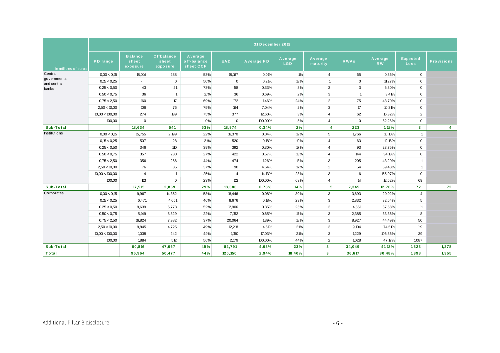|                            |                |                                     |                                        |                                     |                | 31 December 2019 |                       |                         |                |                      |                                |                         |
|----------------------------|----------------|-------------------------------------|----------------------------------------|-------------------------------------|----------------|------------------|-----------------------|-------------------------|----------------|----------------------|--------------------------------|-------------------------|
|                            |                |                                     |                                        |                                     |                |                  |                       |                         |                |                      |                                |                         |
| In millions of euros       | PD range       | <b>Balance</b><br>sheet<br>exposure | <b>Offbalance</b><br>sheet<br>exposure | Average<br>off-balance<br>sheet CCF | <b>EAD</b>     | Average PD       | Average<br><b>LGD</b> | Average<br>maturity     | <b>RWAs</b>    | Average<br><b>RW</b> | <b>Expected</b><br><b>Loss</b> | <b>Provisions</b>       |
| Central                    | 0.00 < 0.15    | 18,014                              | 288                                    | 53%                                 | 18,167         | 0.01%            | $1\%$                 | $\overline{4}$          | 65             | 0.36%                | $\mathbf 0$                    |                         |
| governments<br>and central | 0,15 < 0.25    | $\sim$                              | $\mathbf 0$                            | 50%                                 | $\mathbf 0$    | 0.21%            | 13%                   | $\overline{1}$          | $\mathbf{0}$   | 11.27%               | $\mathbf 0$                    |                         |
| banks                      | 0.25 < 0.50    | 43                                  | 21                                     | 73%                                 | 58             | 0.33%            | 3%                    | 3                       | 3              | 5.30%                | $\mathbf 0$                    |                         |
|                            | 0.50 < 0.75    | 36                                  | $\overline{1}$                         | 16%                                 | 36             | 0.69%            | 2%                    | 3                       | $\overline{1}$ | 3.41%                | $\mathbf 0$                    |                         |
|                            | 0.75 < 2.50    | 160                                 | $\mathcal{T}$                          | 69%                                 | 172            | 1.46%            | 24%                   | $\overline{2}$          | 75             | 43.70%               | $\mathsf 0$                    |                         |
|                            | 2,50 < 10,00   | 106                                 | 76                                     | 75%                                 | 164            | 7.04%            | 2%                    | 3                       | $17\,$         | 10.31%               | $\mathbf 0$                    |                         |
|                            | 10,00 < 100,00 | 274                                 | 139                                    | 75%                                 | 377            | 12.60%           | 3%                    | $\overline{4}$          | 62             | 16.32%               | $\overline{2}$                 |                         |
|                            | 100,00         | $\mathbf 0$                         | $\overline{a}$                         | 0%                                  | $\mathbf 0$    | 100.00%          | 5%                    | $\overline{4}$          | $\mathbf 0$    | 62.26%               | $\mathbf 0$                    |                         |
| Sub-Total                  |                | 18,634                              | 541                                    | 63%                                 | 18,974         | 0.34%            | 2%                    | 4                       | 223            | 1.18%                | 3 <sup>1</sup>                 | $\overline{\mathbf{4}}$ |
| Institutions               | 0.00 < 0.15    | 15,755                              | 2,199                                  | 22%                                 | 16,370         | 0.04%            | 12%                   | 5                       | 1,766          | 10.10%               | $\mathbf{1}$                   |                         |
|                            | 0,15 < 0,25    | 507                                 | 28                                     | 21%                                 | 520            | 0.18%            | 10%                   | $\overline{4}$          | 63             | 12.16%               | $\mathbf 0$                    |                         |
|                            | 0.25 < 0.50    | 346                                 | 110                                    | 39%                                 | 392            | 0.30%            | 17%                   | $\overline{4}$          | 93             | 23.75%               | $\mathbf 0$                    |                         |
|                            | 0.50 < 0.75    | 357                                 | 230                                    | 27%                                 | 422            | 0.57%            | 13%                   | $\overline{4}$          | 144            | 34.13%               | $\mathsf{O}$                   |                         |
|                            | 0,75 < 2,50    | 356                                 | 266                                    | 44%                                 | 474            | 1.26%            | 18%                   | $\mathbf{3}$            | 205            | 43.20%               | $\mathbf{1}$                   |                         |
|                            | 2,50 < 10,00   | 76                                  | 35                                     | 37%                                 | 90             | 4.64%            | 17%                   | $\overline{2}$          | 54             | 59.48%               | $\mathbf{1}$                   |                         |
|                            | 10,00 < 100,00 | $\overline{4}$                      | $\overline{1}$                         | 25%                                 | $\overline{4}$ | 14.13%           | 28%                   | $\mathbf{3}$            | 6              | 155.07%              | $\mathsf 0$                    |                         |
|                            | 100,00         | 113                                 | $\mathbf 0$                            | 23%                                 | 113            | 100.00%          | 63%                   | $\overline{4}$          | 14             | 12.52%               | 69                             |                         |
| Sub-Total                  |                | 17,515                              | 2,869                                  | 29%                                 | 18,386         | 0.73%            | 14%                   | 5                       | 2,345          | 12.76%               | 72                             | 72                      |
| Corporates                 | 0.00 < 0.15    | 9,967                               | 14,352                                 | 58%                                 | 18,446         | 0.08%            | 30%                   | 3                       | 3,693          | 20.02%               | 4                              |                         |
|                            | 0,15 < 0.25    | 6,471                               | 4,651                                  | 46%                                 | 8,676          | 0.18%            | 29%                   | 3                       | 2,832          | 32.64%               | 5                              |                         |
|                            | 0,25 < 0,50    | 9,639                               | 5,773                                  | 52%                                 | 12,906         | 0.35%            | 25%                   | 3                       | 4,851          | 37.58%               | 11                             |                         |
|                            | 0,50 < 0,75    | 5,149                               | 8,829                                  | 22%                                 | 7,152          | 0.65%            | 17%                   | 3                       | 2,385          | 33.36%               | 8                              |                         |
|                            | 0.75 < 2.50    | 16,824                              | 7,982                                  | 37%                                 | 20,064         | 1.39%            | 18%                   | 3                       | 8,927          | 44.49%               | 50                             |                         |
|                            | 2,50 < 10,00   | 9,845                               | 4,725                                  | 49%                                 | 12,218         | 4.61%            | 21%                   | 3                       | 9,104          | 74.51%               | 119                            |                         |
|                            | 10,00 < 100,00 | 1,038                               | 242                                    | 44%                                 | 1,150          | 17.03%           | 21%                   | 3                       | 1,229          | 106.86%              | 39                             |                         |
|                            | 100,00         | 1,884                               | 512                                    | 56%                                 | 2,179          | 100.00%          | 44%                   | 2                       | 1,028          | 47.17%               | 1,087                          |                         |
| Sub-Total                  |                | 60,816                              | 47,067                                 | 45%                                 | 82,791         | 4.03%            | 23%                   | $\overline{\mathbf{3}}$ | 34,049         | 41.13%               | 1,323                          | 1,278                   |
| Total                      |                | 96,964                              | 50,477                                 | 44%                                 | 120,150        | 2.94%            | 18.40%                | $\overline{\mathbf{3}}$ | 36,617         | 30.48%               | 1,398                          | 1,355                   |
|                            |                |                                     |                                        |                                     |                |                  |                       |                         |                |                      |                                |                         |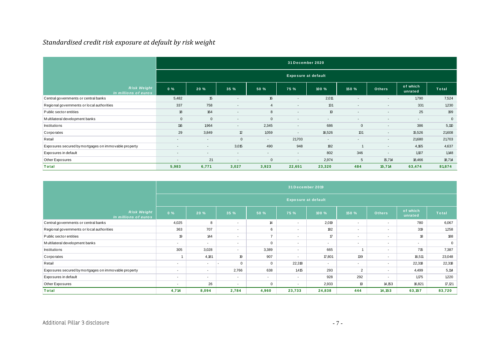#### *Standardised credit risk exposure at default by risk weight*

| Standardised credit risk exposure at default by risk weight |                          |                          |                          |                          |                            |                          |                          |                          |                          |              |
|-------------------------------------------------------------|--------------------------|--------------------------|--------------------------|--------------------------|----------------------------|--------------------------|--------------------------|--------------------------|--------------------------|--------------|
|                                                             |                          |                          |                          |                          | 31 December 2020           |                          |                          |                          |                          |              |
|                                                             |                          |                          |                          |                          | <b>Exposure at default</b> |                          |                          |                          |                          |              |
| <b>Risk Weight</b><br>In millions of euros                  | $0\%$                    | 20 %                     | 35 %                     | 50 %                     | 75 %                       | 100 %                    | 150 %                    | <b>Others</b>            | of which<br>unrated      | <b>Total</b> |
| Central governments or central banks                        | 5,482                    | 15                       | $\overline{\phantom{a}}$ | 16                       | $\overline{\phantom{0}}$   | 2,011                    | $\overline{\phantom{a}}$ | $\overline{\phantom{a}}$ | 1,790                    | 7,524        |
| Regional governments or local authorities                   | 337                      | 758                      | $\overline{\phantom{a}}$ | $\overline{4}$           | $\overline{\phantom{a}}$   | 131                      | -                        |                          | 331                      | 1,230        |
| Public sector entities                                      | 18                       | 164                      | $\overline{\phantom{a}}$ | 8                        | $\overline{\phantom{a}}$   | 10                       | $\overline{\phantom{a}}$ | $\overline{\phantom{a}}$ | 25                       | 199          |
| Multilateral development banks                              | $\mathbf{0}$             | $\mathbf 0$              | $\overline{\phantom{a}}$ | $\mathbf{0}$             | $\overline{\phantom{a}}$   | $\overline{\phantom{a}}$ | $\overline{\phantom{a}}$ | $\overline{\phantom{a}}$ | $\overline{\phantom{a}}$ | $\mathbf{0}$ |
| Institutions                                                | 116                      | 1,964                    | $\overline{\phantom{a}}$ | 2,345                    | $\overline{\phantom{0}}$   | 686                      | $\mathbf{0}$             | $\overline{\phantom{0}}$ | 386                      | 5,110        |
| Corporates                                                  | 29                       | 3,849                    | 12                       | 1,059                    | $\overline{\phantom{a}}$   | 16,526                   | 131                      | $\overline{\phantom{a}}$ | 15,526                   | 21,608       |
| Retail                                                      | $\overline{\phantom{0}}$ |                          | $\mathbf{0}$             | $\overline{\phantom{a}}$ | 21,703                     | $\overline{\phantom{a}}$ | $\overline{\phantom{a}}$ | $\overline{\phantom{a}}$ | 21,680                   | 21,703       |
| Exposures secured by mortgages on immovable property        | $\overline{\phantom{0}}$ | $\overline{\phantom{0}}$ | 3,015                    | 490                      | 948                        | 182                      |                          | $\overline{\phantom{a}}$ | 4,165                    | 4,637        |
| Exposures in default                                        | $\overline{\phantom{0}}$ | $\overline{\phantom{0}}$ | $\overline{\phantom{a}}$ | $\overline{\phantom{a}}$ | $\sim$                     | 802                      | 346                      | $\overline{\phantom{a}}$ | 1.107                    | 1.148        |
| Other Exposures                                             | $\overline{\phantom{0}}$ | 21                       | $\overline{\phantom{a}}$ | $\mathbf{0}$             | $\overline{\phantom{a}}$   | 2,974                    | 5                        | 15,714                   | 18,466                   | 18,714       |
| Total                                                       | 5,983                    | 6,771                    | 3,027                    | 3,923                    | 22,651                     | 23,320                   | 484                      | 15,714                   | 63,474                   | 81,874       |

<span id="page-6-0"></span>

| Other Exposures                                      | $\overline{\phantom{a}}$ | 21                         | $\overline{\phantom{a}}$ | $\mathbf{0}$             | $\overline{\phantom{a}}$ | 2,974                    | 5                        | 15,714                   | 18,466                   | 18,714       |
|------------------------------------------------------|--------------------------|----------------------------|--------------------------|--------------------------|--------------------------|--------------------------|--------------------------|--------------------------|--------------------------|--------------|
| Total                                                | 5,983                    | 6,771                      | 3,027                    | 3,923                    | 22,651                   | 23,320                   | 484                      | 15,714                   | 63,474                   | 81,874       |
|                                                      |                          |                            |                          |                          |                          |                          |                          |                          |                          |              |
|                                                      | 31 December 2019         |                            |                          |                          |                          |                          |                          |                          |                          |              |
|                                                      |                          | <b>Exposure at default</b> |                          |                          |                          |                          |                          |                          |                          |              |
| <b>Risk Weight</b><br>In millions of euros           | $0\%$                    | 20 %                       | 35 %                     | 50 %                     | 75 %                     | 100 %                    | 150 %                    | <b>Others</b>            | of which<br>unrated      | <b>Total</b> |
| Central governments or central banks                 | 4,025                    | 8                          | $\overline{a}$           | 14                       | $\overline{\phantom{a}}$ | 2,019                    | $\sim$                   | $\overline{\phantom{a}}$ | 780                      | 6,067        |
| Regional governments or local authorities            | 363                      | 707                        | $\overline{\phantom{a}}$ | 6                        | $\overline{\phantom{a}}$ | 182                      | $\overline{\phantom{a}}$ | $\overline{\phantom{a}}$ | 319                      | 1,258        |
| Public sector entities                               | 19                       | 144                        | $\sim$                   | $\overline{7}$           | $\sim$                   | 17                       | $\sim$                   | $\sim$                   | 18                       | 188          |
| Multilateral development banks                       | $\overline{\phantom{a}}$ | $\overline{\phantom{a}}$   | $\overline{\phantom{a}}$ | $\mathbf 0$              | $\overline{\phantom{a}}$ | $\overline{\phantom{a}}$ | $\sim$                   | $\overline{\phantom{a}}$ | $\overline{\phantom{a}}$ | $\mathbf 0$  |
| Institutions                                         | 305                      | 3,028                      | $\sim$                   | 3,389                    | $\sim$                   | 665                      | -1                       | $\sim$                   | 715                      | 7,387        |
| Corporates                                           |                          | 4,181                      | 19                       | 907                      | $\overline{\phantom{a}}$ | 17,801                   | 139                      | $\sim$                   | 16,511                   | 23,048       |
| Retail                                               | $\overline{\phantom{a}}$ | $\overline{\phantom{a}}$   | $\mathbf{0}$             | $\mathbf{0}$             | 22,318                   | $\overline{\phantom{a}}$ | $\sim$                   | $\overline{\phantom{a}}$ | 22,318                   | 22,318       |
| Exposures secured by mortgages on immovable property | $\overline{\phantom{a}}$ | $\overline{\phantom{a}}$   | 2,766                    | 638                      | 1,415                    | 293                      | 2                        | $\sim$                   | 4,499                    | 5,114        |
| Exposures in default                                 | $\overline{\phantom{a}}$ | $\overline{\phantom{a}}$   | $\overline{\phantom{a}}$ | $\overline{\phantom{a}}$ | $\sim$                   | 928                      | 292                      | $\overline{\phantom{a}}$ | 1,175                    | 1,220        |
| Other Exposures                                      | $\overline{\phantom{a}}$ | 26                         | $\overline{\phantom{a}}$ | $\mathbf 0$              | $\overline{\phantom{a}}$ | 2,933                    | 10                       | 14,153                   | 16,821                   | 17,121       |
| <b>Total</b>                                         | 4,714                    | 8,094                      | 2,784                    | 4,960                    | 23,733                   | 24,838                   | 444                      | 14, 153                  | 63,157                   | 83,720       |
|                                                      |                          |                            |                          |                          |                          |                          |                          |                          |                          |              |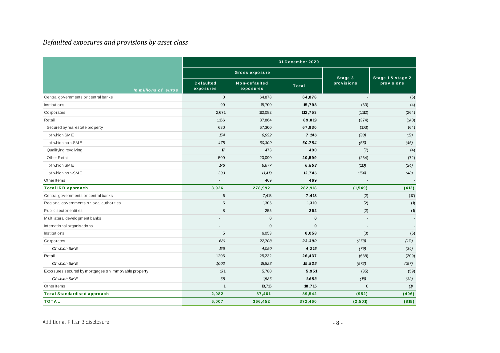#### *Defaulted exposures and provisions by asset class*

| Defaulted exposures and provisions by asset class    |                               |                            |                  |                       |                                 |
|------------------------------------------------------|-------------------------------|----------------------------|------------------|-----------------------|---------------------------------|
|                                                      |                               |                            | 31 December 2020 |                       |                                 |
|                                                      |                               | <b>Gross exposure</b>      |                  |                       |                                 |
| In millions of euros                                 | <b>Defaulted</b><br>exposures | Non-defaulted<br>exposures | <b>Total</b>     | Stage 3<br>provisions | Stage 1 & stage 2<br>provisions |
| Central governments or central banks                 | $\mathbf 0$                   | 64,878                     | 64,878           | ÷,                    | (5)                             |
| Institutions                                         | 99                            | 15,700                     | 15,798           | (63)                  | (4)                             |
| Corporates                                           | 2,671                         | 110,082                    | 112,753          | (1, 112)              | (264)                           |
| Retail                                               | 1,156                         | 87,864                     | 89,019           | (374)                 | (140)                           |
| Secured by real estate property                      | 630                           | 67,300                     | 67,930           | (103)                 | (64)                            |
| of which SME                                         | 154                           | 6,992                      | 7,146            | (38)                  | (19)                            |
| of which non-SME                                     | 475                           | 60,309                     | 60,784           | (65)                  | (46)                            |
| Qualifying revolving                                 | 17                            | 473                        | 490              | (7)                   | (4)                             |
| <b>Other Retail</b>                                  | 509                           | 20,090                     | 20,599           | (264)                 | (72)                            |
| of which SME                                         | 176                           | 6,677                      | 6,853            | (110)                 | (24)                            |
| of which non-SME                                     | 333                           | 13,413                     | 13,746           | (154)                 | (48)                            |
| Other Items                                          |                               | 469                        | 469              |                       |                                 |
| <b>Total IRB approach</b>                            | 3,926                         | 278,992                    | 282,918          | (1, 549)              | (412)                           |
| Central governments or central banks                 | 6                             | 7,413                      | 7,418            | (2)                   | (17)                            |
| Regional governments or local authorities            | 5                             | 1,305                      | 1,310            | (2)                   | (1)                             |
| Public sector entities                               | 8                             | 255                        | 262              | (2)                   | (1)                             |
| Multilateral development banks                       |                               | $\mathbf 0$                | $\mathbf 0$      |                       | $\sim$                          |
| International organisations                          |                               | $\mathbf{0}$               | $\mathbf 0$      |                       | $\overline{\phantom{a}}$        |
| <b>Institutions</b>                                  | 5                             | 6,053                      | 6,058            | (0)                   | (5)                             |
| Corporates                                           | 681                           | 22,708                     | 23,390           | (273)                 | (12)                            |
| Of which SME                                         | 166                           | 4,050                      | 4,216            | (79)                  | (34)                            |
| Retail                                               | 1,205                         | 25,232                     | 26,437           | (638)                 | (209)                           |
| Of which SME                                         | 1,002                         | 18,823                     | 19,825           | (572)                 | (157)                           |
| Exposures secured by mortgages on immovable property | 171                           | 5,780                      | 5,951            | (35)                  | (59)                            |
| Of which SME                                         | 68                            | 1,586                      | 1,653            | (18)                  | (32)                            |
| Other Items                                          | $\mathbf{1}$                  | 18,715                     | 18,715           | $\mathsf 0$           | (1)                             |
| <b>Total Standardised approach</b>                   | 2,082                         | 87,461                     | 89,542           | (952)                 | (406)                           |
| <b>TOTAL</b>                                         | 6,007                         | 366,452                    | 372,460          | (2, 501)              | (818)                           |

<span id="page-7-0"></span>Additional Pillar 3 disclosure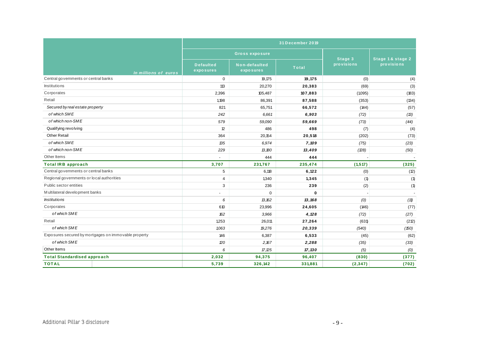|                                                      |                               |                            | 31 December 2019 |                       |                                |
|------------------------------------------------------|-------------------------------|----------------------------|------------------|-----------------------|--------------------------------|
|                                                      |                               | <b>Gross exposure</b>      |                  |                       |                                |
| In millions of euros                                 | <b>Defaulted</b><br>exposures | Non-defaulted<br>exposures | <b>Total</b>     | Stage 3<br>provisions | Stage 1& stage 2<br>provisions |
| Central governments or central banks                 | $\mathbf 0$                   | 19,175                     | 19,175           | (0)                   | (4)                            |
| Institutions                                         | 113                           | 20,270                     | 20,383           | (69)                  | (3)                            |
| Corporates                                           | 2,396                         | 105,487                    | 107,883          | (1,095)               | (183)                          |
| Retail                                               | 1,198                         | 86,391                     | 87,588           | (353)                 | (134)                          |
| Secured by real estate property                      | 821                           | 65,751                     | 66,572           | (144)                 | (57)                           |
| of which SME                                         | 242                           | 6,661                      | 6,903            | (72)                  | (13)                           |
| of which non-SME                                     | 579                           | 59,090                     | 59,669           | (73)                  | (44)                           |
| Qualifying revolving                                 | 12                            | 486                        | 498              | (7)                   | (4)                            |
| <b>Other Retail</b>                                  | 364                           | 20,154                     | 20,518           | (202)                 | (73)                           |
| of which SME                                         | 135                           | 6,974                      | 7,109            | (75)                  | (23)                           |
| of which non-SME                                     | 229                           | 13,180                     | 13,409           | (28)                  | (50)                           |
| Other Items                                          |                               | 444                        | 444              |                       |                                |
| <b>Total IRB approach</b>                            | 3,707                         | 231,767                    | 235,474          | (1, 517)              | (325)                          |
| Central governments or central banks                 | 5                             | 6,118                      | 6,122            | (0)                   | (12)                           |
| Regional governments or local authorities            | $\overline{4}$                | 1,340                      | 1,345            | (1)                   | (1)                            |
| Public sector entities                               | 3                             | 236                        | 239              | (2)                   | (1)                            |
| Multilateral development banks                       |                               | $\Omega$                   | $\mathbf{0}$     | ä,                    |                                |
| <i><b>Institutions</b></i>                           | 6                             | 13,162                     | 13, 168          | (0)                   | (11)                           |
| Corporates                                           | 610                           | 23,996                     | 24,605           | (146)                 | (77)                           |
| of which SME                                         | 162                           | 3,966                      | 4,128            | (72)                  | (27)                           |
| Retail                                               | 1,253                         | 26,011                     | 27,264           | (631)                 | (212)                          |
| of which SME                                         | 1,063                         | 19,276                     | 20,339           | (540)                 | (150)                          |
| Exposures secured by mortgages on immovable property | 146                           | 6,387                      | 6,533            | (45)                  | (62)                           |
| of which SME                                         | 20                            | 2,167                      | 2,288            | (35)                  | (33)                           |
| Other Items                                          | 6                             | 17.25                      | 17,130           | (5)                   | (0)                            |
| <b>Total Standardised approach</b>                   | 2,032                         | 94,375                     | 96,407           | (830)                 | (377)                          |
| <b>TOTAL</b>                                         | 5,739                         | 326,142                    | 331,881          | (2, 347)              | (702)                          |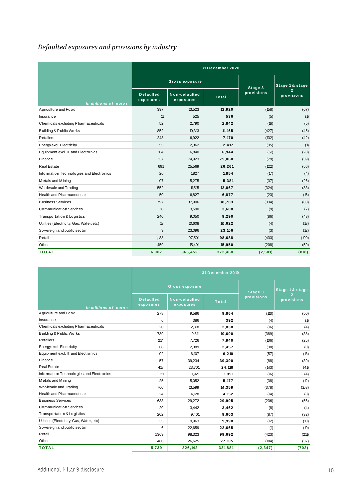# <span id="page-9-0"></span>*Defaulted exposures and provisions by industry*

| <u>Definition employed of all a provisions</u> by industry |                               |                            |                  |            |                              |
|------------------------------------------------------------|-------------------------------|----------------------------|------------------|------------|------------------------------|
|                                                            |                               |                            | 31 December 2020 |            |                              |
|                                                            |                               | <b>Gross exposure</b>      |                  | Stage 3    | Stage 1 & stage              |
| In millions of euros                                       | <b>Defaulted</b><br>exposures | Non-defaulted<br>exposures | Total            | provisions | $\overline{2}$<br>provisions |
| Agriculture and Food                                       | 397                           | 13,523                     | 13,920           | (158)      | (67)                         |
| Insurance                                                  | 11                            | 525                        | 536              | (5)        | (1)                          |
| Chemicals excluding Pharmaceuticals                        | 52                            | 2,790                      | 2,842            | (16)       | (5)                          |
| Building & Public Works                                    | 852                           | 10,313                     | 11, 165          | (427)      | (45)                         |
| <b>Retailers</b>                                           | 248                           | 6,922                      | 7,170            | (132)      | (42)                         |
| Energy excl. Electricity                                   | 55                            | 2,362                      | 2,417            | (35)       | (1)                          |
| Equipment excl. IT and Electronics                         | 104                           | 6,840                      | 6,944            | (51)       | (28)                         |
| Finance                                                    | 137                           | 74,923                     | 75,060           | (79)       | (39)                         |
| <b>Real Estate</b>                                         | 691                           | 25,569                     | 26,261           | (122)      | (56)                         |
| Information Technologies and Electronics                   | 26                            | 1,827                      | 1,854            | (17)       | (4)                          |
| Metals and Mining                                          | 107                           | 5,275                      | 5,381            | (37)       | (26)                         |
| Wholesale and Trading                                      | 552                           | 11,515                     | 12,067           | (324)      | (83)                         |
| <b>Health and Pharmaceuticals</b>                          | 50                            | 6,827                      | 6,877            | (23)       | (16)                         |
| <b>Business Services</b>                                   | 797                           | 37,906                     | 38,703           | (334)      | (83)                         |
| <b>Communication Services</b>                              | 18                            | 3,590                      | 3,608            | (9)        | (7)                          |
| Transportation & Logistics                                 | 240                           | 9,050                      | 9,290            | (86)       | (43)                         |
| Utilities (Electricity, Gas, Water, etc)                   | 13                            | 10,608                     | 10,622           | (4)        | (13)                         |
| Sovereign and public sector                                | 9                             | 23,096                     | 23,106           | (3)        | (12)                         |
| Retail                                                     | 1,188                         | 97,501                     | 98,688           | (433)      | (190)                        |
| Other                                                      | 459                           | 15,491                     | 15,950           | (208)      | (59)                         |
| <b>TOTAL</b>                                               | 6,007                         | 366,452                    | 372,460          | (2,501)    | (818)                        |

|                                          |                               |                            |                  | $\cdots$   |                |
|------------------------------------------|-------------------------------|----------------------------|------------------|------------|----------------|
|                                          |                               |                            |                  |            |                |
|                                          |                               |                            | 31 December 2019 |            |                |
|                                          |                               | <b>Gross exposure</b>      |                  | Stage 3    | Stage 1& stage |
| In millions of euros                     | <b>Defaulted</b><br>exposures | Non-defaulted<br>exposures | <b>Total</b>     | provisions | provisions     |
| Agriculture and Food                     | 278                           | 9,586                      | 9,864            | (110)      | (50)           |
| Insurance                                | 6                             | 386                        | 392              | (4)        | (1)            |
| Chemicals excluding Pharmaceuticals      | 20                            | 2,818                      | 2,838            | (16)       | (4)            |
| Building & Public Works                  | 789                           | 9,811                      | 10,600           | (389)      | (38)           |
| Retailers                                | 214                           | 7,726                      | 7,940            | (106)      | (25)           |
| Energy excl. Electricity                 | 68                            | 2,389                      | 2,457            | (38)       | (0)            |
| Equipment excl. IT and Electronics       | 102                           | 6,107                      | 6,210            | (57)       | (18)           |
| Finance                                  | 157                           | 39,234                     | 39,390           | (88)       | (39)           |
| Real Estate                              | 418                           | 23,701                     | 24,118           | (143)      | (41)           |
| Information Technologies and Electronics | 31                            | 1,921                      | 1,951            | (16)       | (4)            |
| Metals and Mining                        | 125                           | 5,052                      | 5,177            | (38)       | (12)           |
| Wholesale and Trading                    | 760                           | 13,599                     | 14,359           | (378)      | (103)          |
| <b>Health and Pharmaceuticals</b>        | 24                            | 4,128                      | 4,152            | (14)       | (8)            |
| <b>Business Services</b>                 | 633                           | 29,272                     | 29,905           | (236)      | (56)           |
| <b>Communication Services</b>            | 20                            | 3,442                      | 3,462            | (8)        | (4)            |
| Transportation & Logistics               | 202                           | 9,401                      | 9,603            | (87)       | (32)           |
| Utilities (Electricity, Gas, Water, etc) | 35                            | 9,963                      | 9,998            | (12)       | (10)           |
| Sovereign and public sector              | 6                             | 22,659                     | 22,665           | (1)        | (10)           |
| Retail                                   | 1,369                         | 98,323                     | 99,692           | (423)      | (211)          |
| Other                                    | 480                           | 26,625                     | 27,105           | (184)      | (37)           |
| <b>TOTAL</b>                             | 5,739                         | 326,142                    | 331,881          | (2, 347)   | (702)          |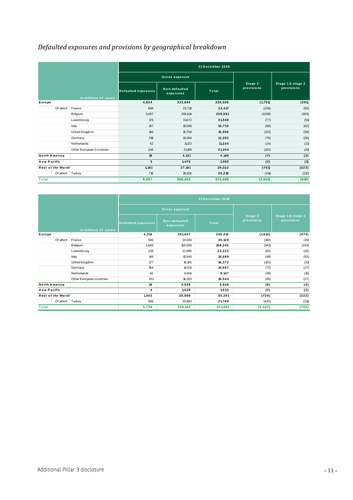<span id="page-10-0"></span>

|                          |                          |                            |                            | 31 December 2020 |                       |                                 |
|--------------------------|--------------------------|----------------------------|----------------------------|------------------|-----------------------|---------------------------------|
|                          |                          |                            | Gross exposure             |                  |                       |                                 |
|                          | In millions of euros     | <b>Defaulted exposures</b> | Non-defaulted<br>exposures | Total            | Stage 3<br>provisions | Stage 1 & stage 2<br>provisions |
| Europe                   |                          | 4,824                      | 333,684                    | 338,508          | (1,791)               | (591)                           |
| Of which                 | France                   | 698                        | 23,718                     | 24,417           | (239)                 | (50)                            |
|                          | Belgium                  | 3,067                      | 206,614                    | 209,681          | (1,038)               | (303)                           |
|                          | Luxembourg               | 176                        | 31,672                     | 31,848           | (77)                  | (51)                            |
|                          | Italy                    | 167                        | 10,568                     | 10,735           | (89)                  | (62)                            |
|                          | United Kingdom           | 190                        | 15,766                     | 15,956           | (123)                 | (38)                            |
|                          | Germany                  | 219                        | 13,064                     | 13,283           | (79)                  | (26)                            |
|                          | Netherlands              | 62                         | 11,172                     | 11,234           | (24)                  | (21)                            |
|                          | Other European Countries | 246                        | 21,109                     | 21,354           | (122)                 | (41)                            |
| <b>North America</b>     |                          | 18                         | 4,131                      | 4,149            | (7)                   | (3)                             |
| Asia Pacific             |                          | 3                          | 1,476                      | 1,480            | (2)                   | (1)                             |
| <b>Rest of the World</b> |                          | 1,161                      | 27,161                     | 28,322           | (701)                 | (223)                           |
| Of which                 | Turkey                   | 715                        | 19,505                     | 20,219           | (411)                 | (212)                           |
| Total                    |                          | 6,007                      | 366,452                    | 372,460          | (2, 501)              | (818)                           |

| i viai                   |                          | 0,001                      | 300,492                    | 312,400          | (4,90 I)              | (010)                          |  |
|--------------------------|--------------------------|----------------------------|----------------------------|------------------|-----------------------|--------------------------------|--|
|                          |                          |                            |                            |                  |                       |                                |  |
|                          |                          |                            |                            | 31 December 2019 |                       |                                |  |
|                          |                          |                            | <b>Gross exposure</b>      |                  |                       |                                |  |
|                          | In millions of euros     | <b>Defaulted exposures</b> | Non-defaulted<br>exposures | Total            | Stage 3<br>provisions | Stage 1& stage 2<br>provisions |  |
| Europe                   |                          | 4,314                      | 291,697                    | 296,012          | (1,613)               | (474)                          |  |
| Of which                 | France                   | 560                        | 34,569                     | 35,129           | (190)                 | (39)                           |  |
|                          | Belgium                  | 2,684                      | 165,556                    | 168,240          | (961)                 | (243)                          |  |
|                          | Luxembourg               | 238                        | 22,985                     | 23,223           | (82)                  | (42)                           |  |
|                          | Italy                    | 149                        | 10,540                     | 10,689           | (48)                  | (53)                           |  |
|                          | United Kingdom           | 177                        | 16,195                     | 16,372           | (132)                 | (31)                           |  |
|                          | Germany                  | 154                        | 14,513                     | 14,667           | (72)                  | (27)                           |  |
|                          | Netherlands              | 92                         | 9,056                      | 9,147            | (38)                  | (13)                           |  |
|                          | Other European countries | 261                        | 18,283                     | 18,544           | (89)                  | (27)                           |  |
| <b>North America</b>     |                          | 19                         | 3,928                      | 3,946            | (8)                   | (4)                            |  |
| Asia Pacific             |                          | 4                          | 1,628                      | 1,632            | (2)                   | (2)                            |  |
| <b>Rest of the World</b> |                          | 1,402                      | 28,888                     | 30,291           | (724)                 | (223)                          |  |
| Of which Turkey          |                          | 906                        | 20,883                     | 21,789           | (435)                 | (211)                          |  |
| <b>Total</b>             |                          | 5,739                      | 326,142                    | 331,881          | (2, 347)              | (702)                          |  |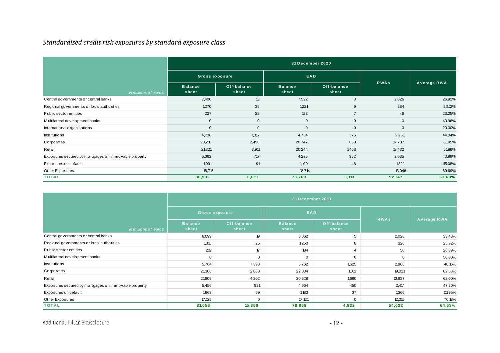#### *Standardised credit risk exposures by standard exposure class*

|                                                      | 31 December 2020        |                          |                         |                      |              |             |  |  |  |  |
|------------------------------------------------------|-------------------------|--------------------------|-------------------------|----------------------|--------------|-------------|--|--|--|--|
|                                                      | <b>Gross exposure</b>   |                          | EAD                     |                      |              |             |  |  |  |  |
| In millions of euros                                 | <b>Balance</b><br>sheet | Off-balance<br>sheet     | <b>Balance</b><br>sheet | Off-balance<br>sheet | <b>RWAs</b>  | Average RWA |  |  |  |  |
| Central governments or central banks                 | 7,400                   | $\mathbf{13}$            | 7,522                   | 3                    | 2,026        | 26.92%      |  |  |  |  |
| Regional governments or local authorities            | 1,270                   | 35                       | 1,221                   | 9                    | 284          | 23.12%      |  |  |  |  |
| Public sector entities                               | 227                     | 28                       | 193                     | $\overline{7}$       | 46           | 23.25%      |  |  |  |  |
| Multilateral development banks                       | $\mathbf 0$             | $\mathbf{0}$             | $\mathbf{0}$            | 0                    | $\mathbf{0}$ | 40.96%      |  |  |  |  |
| International organisations                          | $\mathbf 0$             | $\mathbf{0}$             | $\mathbf{0}$            | 0                    | $\mathbf{0}$ | 20.00%      |  |  |  |  |
| <b>Institutions</b>                                  | 4,736                   | 1,317                    | 4,734                   | 376                  | 2,251        | 44.04%      |  |  |  |  |
| Corporates                                           | 20,210                  | 2,498                    | 20,747                  | 860                  | 17,707       | 81.95%      |  |  |  |  |
| Retail                                               | 21,321                  | 3,911                    | 20,244                  | 1,458                | 13,432       | 61.89%      |  |  |  |  |
| Exposures secured by mortgages on immovable property | 5,062                   | 717                      | 4,285                   | 352                  | 2,035        | 43.88%      |  |  |  |  |
| Exposures un default                                 | 1,991                   | 91                       | 1,100                   | 48                   | 1,321        | 115.08%     |  |  |  |  |
| Other Exposures                                      | 18,715                  | $\overline{\phantom{a}}$ | 18,714                  | ۰                    | 13,046       | 69.69%      |  |  |  |  |
| <b>TOTAL</b>                                         | 80,932                  | 8,610                    | 78,760                  | 3,113                | 52,147       | 63.69%      |  |  |  |  |

<span id="page-11-0"></span>

| Other Exposures                                      | 18,715<br>$\overline{\phantom{a}}$ |                      | 18,714                  |                      | 13,046      | 69.69%      |  |  |  |  |
|------------------------------------------------------|------------------------------------|----------------------|-------------------------|----------------------|-------------|-------------|--|--|--|--|
| <b>TOTAL</b>                                         | 80,932                             | 8,610                | 78,760                  | 3,113                | 52,147      | 63.69%      |  |  |  |  |
|                                                      | 31 December 2019                   |                      |                         |                      |             |             |  |  |  |  |
|                                                      | <b>Gross exposure</b>              |                      | EAD                     |                      |             |             |  |  |  |  |
| In millions of euros                                 | <b>Balance</b><br>sheet            | Off-balance<br>sheet | <b>Balance</b><br>sheet | Off-balance<br>sheet | <b>RWAs</b> | Average RWA |  |  |  |  |
| Central governments or central banks                 | 6,099                              | 19                   | 6,062                   | 5                    | 2,028       | 33.43%      |  |  |  |  |
| Regional governments or local authorities            | 1,315                              | 25                   | 1,250                   | 8                    | 326         | 25.92%      |  |  |  |  |
| Public sector entities                               | 219                                | $\sqrt{7}$           | 184                     | $\overline{4}$       | 50          | 26.39%      |  |  |  |  |
| M ultilateral development banks                      | $\Omega$                           | $\mathbf 0$          | $\Omega$                | $\mathbf 0$          | $\Omega$    | 50.00%      |  |  |  |  |
| <b>Institutions</b>                                  | 5,764                              | 7,398                | 5,762                   | 1,625                | 2,966       | 40.16%      |  |  |  |  |
| Corporates                                           | 21,308                             | 2,688                | 22,034                  | 1,013                | 19,021      | 82.53%      |  |  |  |  |
| Retail                                               | 21,809                             | 4,202                | 20,628                  | 1,690                | 13,837      | 62.00%      |  |  |  |  |
| Exposures secured by mortgages on immovable property | 5,456                              | 931                  | 4,664                   | 450                  | 2,414       | 47.20%      |  |  |  |  |
| Exposures un default                                 | 1,963                              | 69                   | 1,183                   | 37                   | 1,366       | 111.95%     |  |  |  |  |
| Other Exposures                                      | 17,125                             | $\mathbf 0$          | 17,121                  | $\mathbf 0$          | 12,015      | 70.13%      |  |  |  |  |
| <b>TOTAL</b>                                         | 81,058                             | 15,350               | 78,888                  | 4,832                | 54,022      | 64.53%      |  |  |  |  |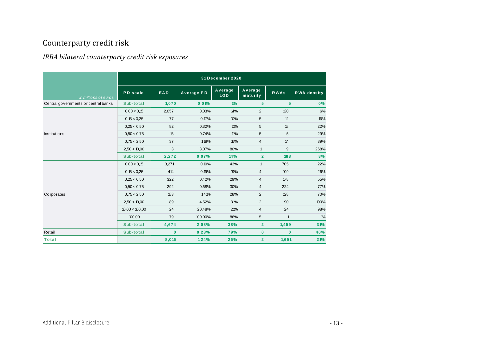# Counterparty credit risk

#### *IRBA bilateral counterparty credit risk exposures*

<span id="page-12-1"></span><span id="page-12-0"></span>

| <i><b>INDIT DIRECT DE CORTIGI PRI CY CI CAIL I ISK CROSSIT CS</b></i> |                |              |            |                       |                     |              |                    |
|-----------------------------------------------------------------------|----------------|--------------|------------|-----------------------|---------------------|--------------|--------------------|
|                                                                       |                |              |            | 31 December 2020      |                     |              |                    |
| In millions of euros                                                  | PD scale       | EAD          | Average PD | Average<br><b>LGD</b> | Average<br>maturity | <b>RWAs</b>  | <b>RWA</b> density |
| Central governments or central banks                                  | Sub-total      | 1,070        | 0.01%      | 1%                    | $5\phantom{a}$      | 5            | 0%                 |
|                                                                       | 0,00 < 0,15    | 2,057        | 0.03%      | 14%                   | $\overline{2}$      | 130          | 6%                 |
|                                                                       | 0,15 < 0,25    | 77           | 0.17%      | 10%                   | 5                   | 12           | 16%                |
|                                                                       | 0,25 < 0,50    | 82           | 0.32%      | 11%                   | 5                   | 18           | 22%                |
| Institutions                                                          | 0.50 < 0.75    | 16           | 0.74%      | 11%                   | 5                   | 5            | 29%                |
|                                                                       | 0.75 < 2.50    | 37           | 1.18%      | 16%                   | 4                   | 14           | 39%                |
|                                                                       | 2,50 < 10,00   | 3            | 3.07%      | 80%                   | $\mathbf{1}$        | 9            | 268%               |
|                                                                       | Sub-total      | 2,272        | 0.07%      | 14%                   | $\overline{2}$      | 188          | 8%                 |
|                                                                       | 0.00 < 0.15    | 3,271        | 0.10%      | 43%                   | $\mathbf{1}$        | 705          | 22%                |
|                                                                       | 0,15 < 0,25    | 414          | 0.19%      | 19%                   | 4                   | 109          | 26%                |
|                                                                       | 0,25 < 0,50    | 322          | 0.42%      | 29%                   | 4                   | 178          | 55%                |
|                                                                       | 0.50 < 0.75    | 292          | 0.68%      | 30%                   | 4                   | 224          | 77%                |
| Corporates                                                            | 0.75 < 2.50    | 183          | 1.41%      | 28%                   | $\overline{2}$      | 128          | 70%                |
|                                                                       | 2,50 < 10,00   | 89           | 4.52%      | 31%                   | $\overline{2}$      | 90           | 100%               |
|                                                                       | 10,00 < 100,00 | 24           | 20.48%     | 21%                   | 4                   | 24           | 98%                |
|                                                                       | 100,00         | 79           | 100.00%    | 86%                   | 5                   | $\mathbf{1}$ | $1\%$              |
|                                                                       | Sub-total      | 4,674        | 2.08%      | 38%                   | $\overline{2}$      | 1,459        | 31%                |
| Retail                                                                | Sub-total      | $\mathbf{0}$ | 0.28%      | 79%                   | $\bf{0}$            | $\mathbf{0}$ | 40%                |
| <b>Total</b>                                                          |                | 8,016        | 1.24%      | 26%                   | $\overline{2}$      | 1,651        | 21%                |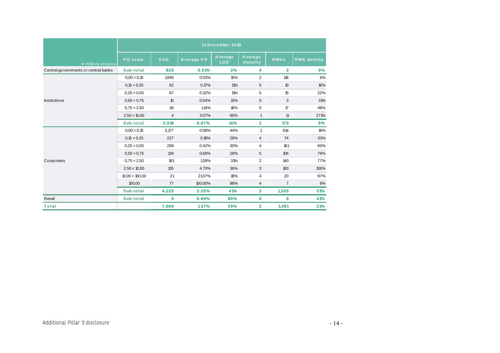|                                      |                 |          |                   | 31 December 2019      |                     |                |                    |
|--------------------------------------|-----------------|----------|-------------------|-----------------------|---------------------|----------------|--------------------|
| In millions of euros                 | <b>PD</b> scale | EAD      | <b>Average PD</b> | Average<br><b>LGD</b> | Average<br>maturity | <b>RWAs</b>    | <b>RWA</b> density |
| Central governments or central banks | Sub-total       | 825      | 0.01%             | 2%                    | 4                   | 3              | 0%                 |
|                                      | 0.00 < 0.15     | 1,840    | 0.03%             | 15%                   | $\overline{2}$      | 116            | 6%                 |
|                                      | 0,15 < 0.25     | 62       | 0.17%             | 11%                   | 5                   | 10             | 16%                |
| Institutions                         | 0.25 < 0.50     | 67       | 0.32%             | 11%                   | 5                   | 15             | 22%                |
|                                      | 0.50 < 0.75     | $10$     | 0.54%             | 13%                   | 5                   | 3              | 31%                |
|                                      | 0.75 < 2.50     | 36       | 1.14%             | 16%                   | 5                   | $\mathcal T$   | 48%                |
|                                      | 2,50 < 10,00    | 4        | 3.07%             | 80%                   | $\mathbf{1}$        | 11             | 271%               |
|                                      | Sub-total       | 2,019    | 0.07%             | 14%                   | $\overline{2}$      | 173            | 9%                 |
|                                      | 0.00 < 0.15     | 3,177    | 0.08%             | 44%                   | $\mathbf{1}$        | 614            | 19%                |
|                                      | 0,15 < 0.25     | 227      | 0.18%             | 28%                   | $\overline{4}$      | 74             | 33%                |
|                                      | 0.25 < 0.50     | 269      | 0.42%             | 30%                   | 4                   | 161            | 60%                |
|                                      | 0.50 < 0.75     | 139      | 0.68%             | 28%                   | 5                   | 106            | 76%                |
| Corporates                           | 0.75 < 2.50     | 181      | 1.38%             | 31%                   | $\overline{2}$      | 140            | 77%                |
|                                      | 2,50 < 10,00    | 135      | 4.70%             | 36%                   | 3                   | 183            | 136%               |
|                                      | 10,00 < 100,00  | 21       | 21.37%            | 18%                   | 4                   | 20             | 97%                |
|                                      | 100,00          | 77       | 100.00%           | 98%                   | 4                   | $\overline{7}$ | 9%                 |
|                                      | Sub-total       | 4,225    | 2.25%             | 41%                   | $\mathbf{2}$        | 1,305          | 31%                |
| Retail                               | Sub-total       | $\bf{0}$ | 0.69%             | 80%                   | 0                   | $\bf{0}$       | 41%                |
| <b>Total</b>                         |                 | 7,069    | 1.37%             | 29%                   | $\overline{2}$      | 1,481          | 21%                |